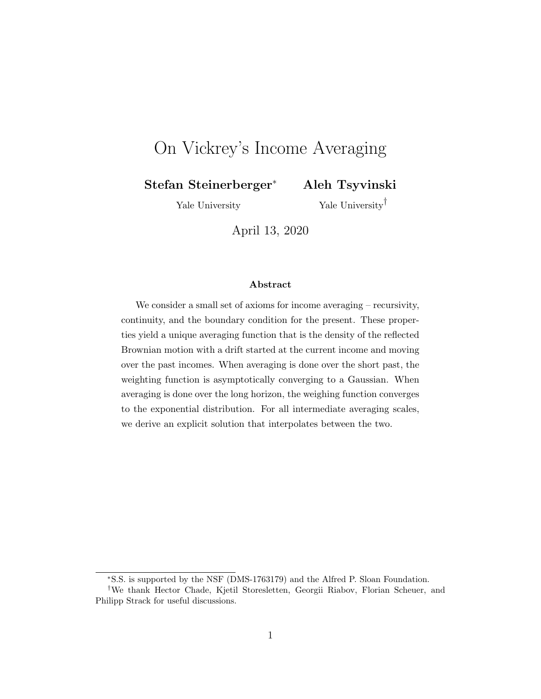# On Vickrey's Income Averaging

Stefan Steinerberger<sup>∗</sup> Aleh Tsyvinski

Yale University

Yale University†

April 13, 2020

#### Abstract

We consider a small set of axioms for income averaging – recursivity, continuity, and the boundary condition for the present. These properties yield a unique averaging function that is the density of the reflected Brownian motion with a drift started at the current income and moving over the past incomes. When averaging is done over the short past, the weighting function is asymptotically converging to a Gaussian. When averaging is done over the long horizon, the weighing function converges to the exponential distribution. For all intermediate averaging scales, we derive an explicit solution that interpolates between the two.

<sup>∗</sup>S.S. is supported by the NSF (DMS-1763179) and the Alfred P. Sloan Foundation.

<sup>†</sup>We thank Hector Chade, Kjetil Storesletten, Georgii Riabov, Florian Scheuer, and Philipp Strack for useful discussions.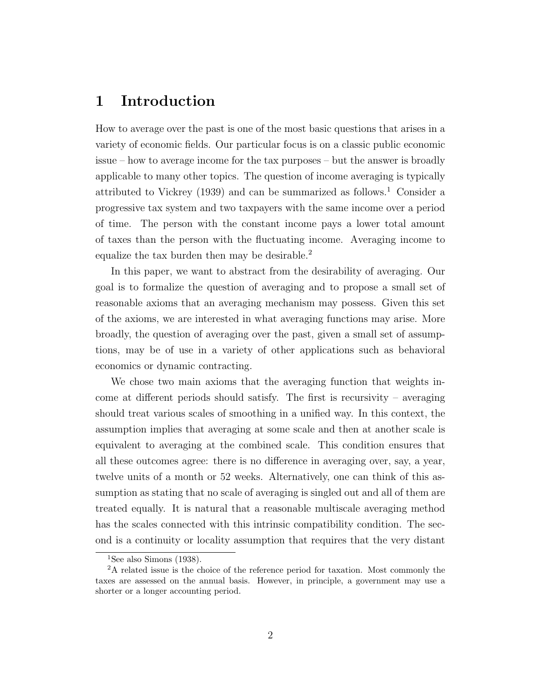# 1 Introduction

How to average over the past is one of the most basic questions that arises in a variety of economic fields. Our particular focus is on a classic public economic issue – how to average income for the tax purposes – but the answer is broadly applicable to many other topics. The question of income averaging is typically attributed to Vickrey (1939) and can be summarized as follows.<sup>1</sup> Consider a progressive tax system and two taxpayers with the same income over a period of time. The person with the constant income pays a lower total amount of taxes than the person with the fluctuating income. Averaging income to equalize the tax burden then may be desirable.<sup>2</sup>

In this paper, we want to abstract from the desirability of averaging. Our goal is to formalize the question of averaging and to propose a small set of reasonable axioms that an averaging mechanism may possess. Given this set of the axioms, we are interested in what averaging functions may arise. More broadly, the question of averaging over the past, given a small set of assumptions, may be of use in a variety of other applications such as behavioral economics or dynamic contracting.

We chose two main axioms that the averaging function that weights income at different periods should satisfy. The first is recursivity – averaging should treat various scales of smoothing in a unified way. In this context, the assumption implies that averaging at some scale and then at another scale is equivalent to averaging at the combined scale. This condition ensures that all these outcomes agree: there is no difference in averaging over, say, a year, twelve units of a month or 52 weeks. Alternatively, one can think of this assumption as stating that no scale of averaging is singled out and all of them are treated equally. It is natural that a reasonable multiscale averaging method has the scales connected with this intrinsic compatibility condition. The second is a continuity or locality assumption that requires that the very distant

<sup>&</sup>lt;sup>1</sup>See also Simons  $(1938)$ .

<sup>2</sup>A related issue is the choice of the reference period for taxation. Most commonly the taxes are assessed on the annual basis. However, in principle, a government may use a shorter or a longer accounting period.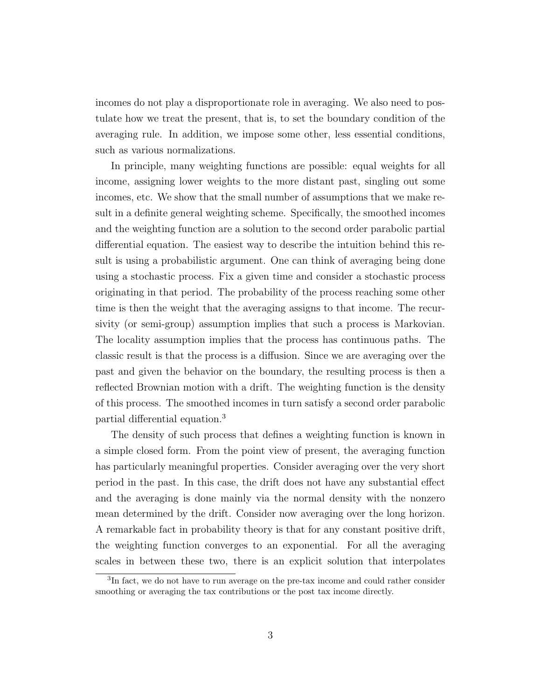incomes do not play a disproportionate role in averaging. We also need to postulate how we treat the present, that is, to set the boundary condition of the averaging rule. In addition, we impose some other, less essential conditions, such as various normalizations.

In principle, many weighting functions are possible: equal weights for all income, assigning lower weights to the more distant past, singling out some incomes, etc. We show that the small number of assumptions that we make result in a definite general weighting scheme. Specifically, the smoothed incomes and the weighting function are a solution to the second order parabolic partial differential equation. The easiest way to describe the intuition behind this result is using a probabilistic argument. One can think of averaging being done using a stochastic process. Fix a given time and consider a stochastic process originating in that period. The probability of the process reaching some other time is then the weight that the averaging assigns to that income. The recursivity (or semi-group) assumption implies that such a process is Markovian. The locality assumption implies that the process has continuous paths. The classic result is that the process is a diffusion. Since we are averaging over the past and given the behavior on the boundary, the resulting process is then a reflected Brownian motion with a drift. The weighting function is the density of this process. The smoothed incomes in turn satisfy a second order parabolic partial differential equation.<sup>3</sup>

The density of such process that defines a weighting function is known in a simple closed form. From the point view of present, the averaging function has particularly meaningful properties. Consider averaging over the very short period in the past. In this case, the drift does not have any substantial effect and the averaging is done mainly via the normal density with the nonzero mean determined by the drift. Consider now averaging over the long horizon. A remarkable fact in probability theory is that for any constant positive drift, the weighting function converges to an exponential. For all the averaging scales in between these two, there is an explicit solution that interpolates

<sup>&</sup>lt;sup>3</sup>In fact, we do not have to run average on the pre-tax income and could rather consider smoothing or averaging the tax contributions or the post tax income directly.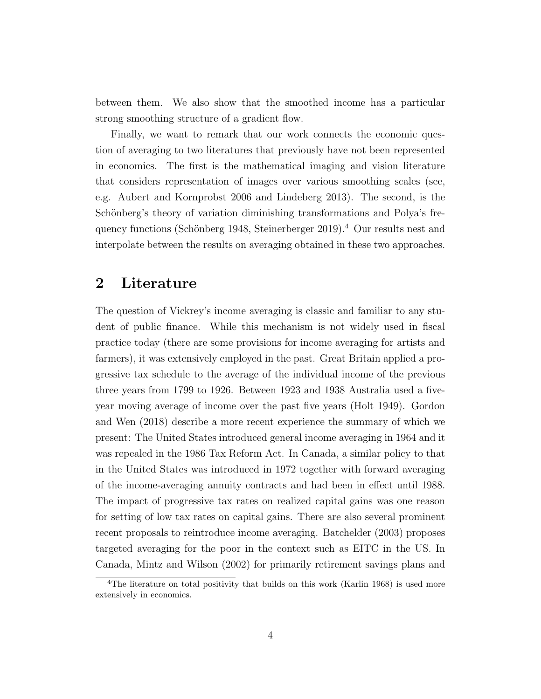between them. We also show that the smoothed income has a particular strong smoothing structure of a gradient flow.

Finally, we want to remark that our work connects the economic question of averaging to two literatures that previously have not been represented in economics. The first is the mathematical imaging and vision literature that considers representation of images over various smoothing scales (see, e.g. Aubert and Kornprobst 2006 and Lindeberg 2013). The second, is the Schönberg's theory of variation diminishing transformations and Polya's frequency functions (Schönberg 1948, Steinerberger 2019).<sup>4</sup> Our results nest and interpolate between the results on averaging obtained in these two approaches.

#### 2 Literature

The question of Vickrey's income averaging is classic and familiar to any student of public finance. While this mechanism is not widely used in fiscal practice today (there are some provisions for income averaging for artists and farmers), it was extensively employed in the past. Great Britain applied a progressive tax schedule to the average of the individual income of the previous three years from 1799 to 1926. Between 1923 and 1938 Australia used a fiveyear moving average of income over the past five years (Holt 1949). Gordon and Wen (2018) describe a more recent experience the summary of which we present: The United States introduced general income averaging in 1964 and it was repealed in the 1986 Tax Reform Act. In Canada, a similar policy to that in the United States was introduced in 1972 together with forward averaging of the income-averaging annuity contracts and had been in effect until 1988. The impact of progressive tax rates on realized capital gains was one reason for setting of low tax rates on capital gains. There are also several prominent recent proposals to reintroduce income averaging. Batchelder (2003) proposes targeted averaging for the poor in the context such as EITC in the US. In Canada, Mintz and Wilson (2002) for primarily retirement savings plans and

<sup>&</sup>lt;sup>4</sup>The literature on total positivity that builds on this work (Karlin 1968) is used more extensively in economics.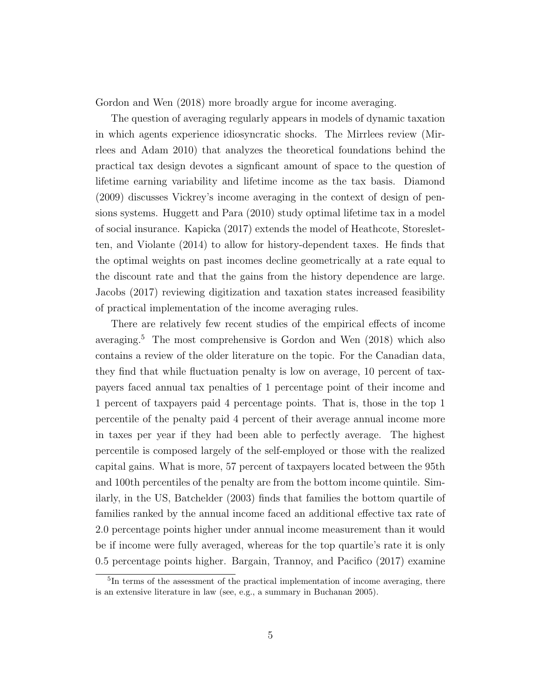Gordon and Wen (2018) more broadly argue for income averaging.

The question of averaging regularly appears in models of dynamic taxation in which agents experience idiosyncratic shocks. The Mirrlees review (Mirrlees and Adam 2010) that analyzes the theoretical foundations behind the practical tax design devotes a signficant amount of space to the question of lifetime earning variability and lifetime income as the tax basis. Diamond (2009) discusses Vickrey's income averaging in the context of design of pensions systems. Huggett and Para (2010) study optimal lifetime tax in a model of social insurance. Kapicka (2017) extends the model of Heathcote, Storesletten, and Violante (2014) to allow for history-dependent taxes. He finds that the optimal weights on past incomes decline geometrically at a rate equal to the discount rate and that the gains from the history dependence are large. Jacobs (2017) reviewing digitization and taxation states increased feasibility of practical implementation of the income averaging rules.

There are relatively few recent studies of the empirical effects of income averaging.<sup>5</sup> The most comprehensive is Gordon and Wen  $(2018)$  which also contains a review of the older literature on the topic. For the Canadian data, they find that while fluctuation penalty is low on average, 10 percent of taxpayers faced annual tax penalties of 1 percentage point of their income and 1 percent of taxpayers paid 4 percentage points. That is, those in the top 1 percentile of the penalty paid 4 percent of their average annual income more in taxes per year if they had been able to perfectly average. The highest percentile is composed largely of the self-employed or those with the realized capital gains. What is more, 57 percent of taxpayers located between the 95th and 100th percentiles of the penalty are from the bottom income quintile. Similarly, in the US, Batchelder (2003) finds that families the bottom quartile of families ranked by the annual income faced an additional effective tax rate of 2.0 percentage points higher under annual income measurement than it would be if income were fully averaged, whereas for the top quartile's rate it is only 0.5 percentage points higher. Bargain, Trannoy, and Pacifico (2017) examine

<sup>5</sup> In terms of the assessment of the practical implementation of income averaging, there is an extensive literature in law (see, e.g., a summary in Buchanan 2005).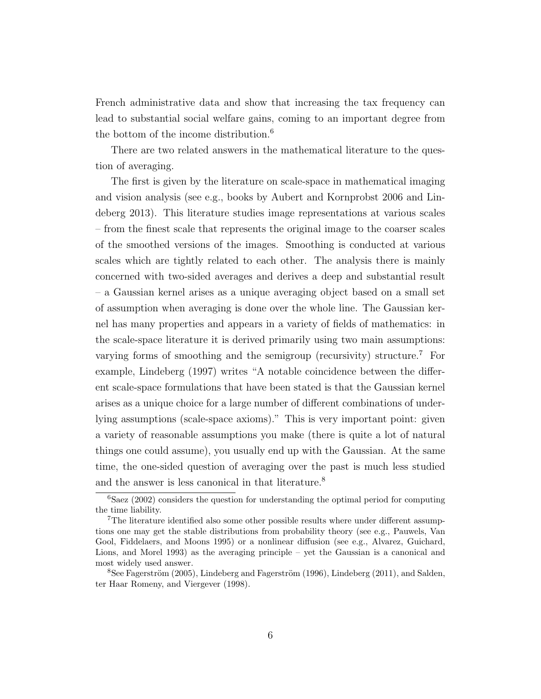French administrative data and show that increasing the tax frequency can lead to substantial social welfare gains, coming to an important degree from the bottom of the income distribution.<sup>6</sup>

There are two related answers in the mathematical literature to the question of averaging.

The first is given by the literature on scale-space in mathematical imaging and vision analysis (see e.g., books by Aubert and Kornprobst 2006 and Lindeberg 2013). This literature studies image representations at various scales – from the finest scale that represents the original image to the coarser scales of the smoothed versions of the images. Smoothing is conducted at various scales which are tightly related to each other. The analysis there is mainly concerned with two-sided averages and derives a deep and substantial result – a Gaussian kernel arises as a unique averaging object based on a small set of assumption when averaging is done over the whole line. The Gaussian kernel has many properties and appears in a variety of fields of mathematics: in the scale-space literature it is derived primarily using two main assumptions: varying forms of smoothing and the semigroup (recursivity) structure.<sup>7</sup> For example, Lindeberg (1997) writes "A notable coincidence between the different scale-space formulations that have been stated is that the Gaussian kernel arises as a unique choice for a large number of different combinations of underlying assumptions (scale-space axioms)." This is very important point: given a variety of reasonable assumptions you make (there is quite a lot of natural things one could assume), you usually end up with the Gaussian. At the same time, the one-sided question of averaging over the past is much less studied and the answer is less canonical in that literature.<sup>8</sup>

 ${}^{6}$ Saez (2002) considers the question for understanding the optimal period for computing the time liability.

<sup>7</sup>The literature identified also some other possible results where under different assumptions one may get the stable distributions from probability theory (see e.g., Pauwels, Van Gool, Fiddelaers, and Moons 1995) or a nonlinear diffusion (see e.g., Alvarez, Guichard, Lions, and Morel 1993) as the averaging principle – yet the Gaussian is a canonical and most widely used answer.

 ${}^{8}$ See Fagerström (2005), Lindeberg and Fagerström (1996), Lindeberg (2011), and Salden, ter Haar Romeny, and Viergever (1998).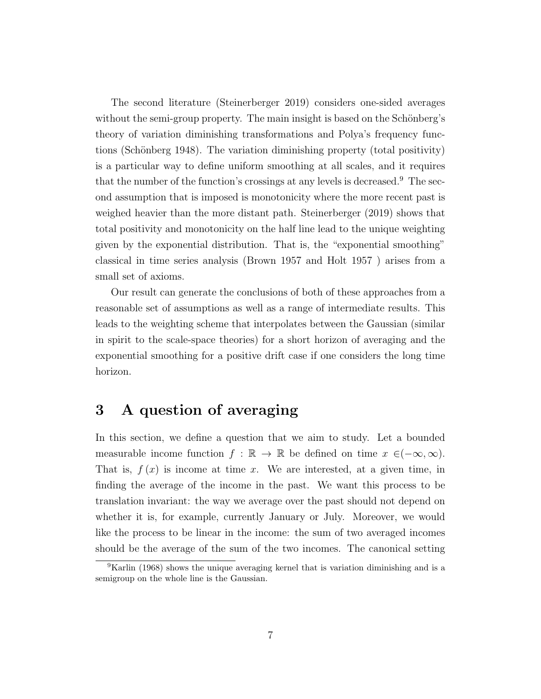The second literature (Steinerberger 2019) considers one-sided averages without the semi-group property. The main insight is based on the Schönberg's theory of variation diminishing transformations and Polya's frequency functions (Schönberg 1948). The variation diminishing property (total positivity) is a particular way to define uniform smoothing at all scales, and it requires that the number of the function's crossings at any levels is decreased.<sup>9</sup> The second assumption that is imposed is monotonicity where the more recent past is weighed heavier than the more distant path. Steinerberger (2019) shows that total positivity and monotonicity on the half line lead to the unique weighting given by the exponential distribution. That is, the "exponential smoothing" classical in time series analysis (Brown 1957 and Holt 1957 ) arises from a small set of axioms.

Our result can generate the conclusions of both of these approaches from a reasonable set of assumptions as well as a range of intermediate results. This leads to the weighting scheme that interpolates between the Gaussian (similar in spirit to the scale-space theories) for a short horizon of averaging and the exponential smoothing for a positive drift case if one considers the long time horizon.

# 3 A question of averaging

In this section, we define a question that we aim to study. Let a bounded measurable income function  $f : \mathbb{R} \to \mathbb{R}$  be defined on time  $x \in (-\infty, \infty)$ . That is,  $f(x)$  is income at time x. We are interested, at a given time, in finding the average of the income in the past. We want this process to be translation invariant: the way we average over the past should not depend on whether it is, for example, currently January or July. Moreover, we would like the process to be linear in the income: the sum of two averaged incomes should be the average of the sum of the two incomes. The canonical setting

 $9$ Karlin (1968) shows the unique averaging kernel that is variation diminishing and is a semigroup on the whole line is the Gaussian.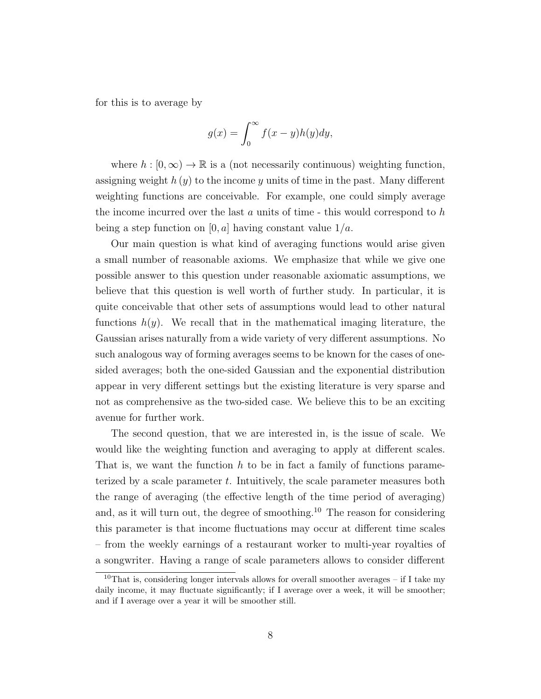for this is to average by

$$
g(x) = \int_0^\infty f(x - y)h(y)dy,
$$

where  $h : [0, \infty) \to \mathbb{R}$  is a (not necessarily continuous) weighting function, assigning weight  $h(y)$  to the income y units of time in the past. Many different weighting functions are conceivable. For example, one could simply average the income incurred over the last a units of time  $\overline{\ }$ -this would correspond to h being a step function on [0, a] having constant value  $1/a$ .

Our main question is what kind of averaging functions would arise given a small number of reasonable axioms. We emphasize that while we give one possible answer to this question under reasonable axiomatic assumptions, we believe that this question is well worth of further study. In particular, it is quite conceivable that other sets of assumptions would lead to other natural functions  $h(y)$ . We recall that in the mathematical imaging literature, the Gaussian arises naturally from a wide variety of very different assumptions. No such analogous way of forming averages seems to be known for the cases of onesided averages; both the one-sided Gaussian and the exponential distribution appear in very different settings but the existing literature is very sparse and not as comprehensive as the two-sided case. We believe this to be an exciting avenue for further work.

The second question, that we are interested in, is the issue of scale. We would like the weighting function and averaging to apply at different scales. That is, we want the function  $h$  to be in fact a family of functions parameterized by a scale parameter t. Intuitively, the scale parameter measures both the range of averaging (the effective length of the time period of averaging) and, as it will turn out, the degree of smoothing.<sup>10</sup> The reason for considering this parameter is that income fluctuations may occur at different time scales – from the weekly earnings of a restaurant worker to multi-year royalties of a songwriter. Having a range of scale parameters allows to consider different

<sup>&</sup>lt;sup>10</sup>That is, considering longer intervals allows for overall smoother averages – if I take my daily income, it may fluctuate significantly; if I average over a week, it will be smoother; and if I average over a year it will be smoother still.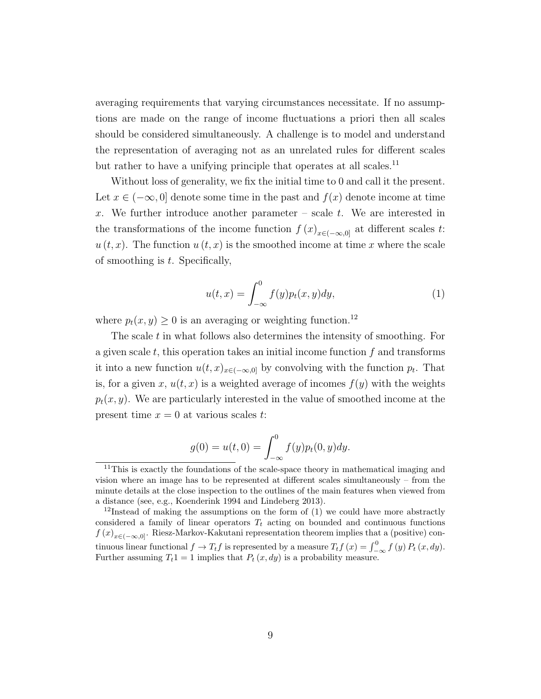averaging requirements that varying circumstances necessitate. If no assumptions are made on the range of income fluctuations a priori then all scales should be considered simultaneously. A challenge is to model and understand the representation of averaging not as an unrelated rules for different scales but rather to have a unifying principle that operates at all scales.<sup>11</sup>

Without loss of generality, we fix the initial time to 0 and call it the present. Let  $x \in (-\infty, 0]$  denote some time in the past and  $f(x)$  denote income at time x. We further introduce another parameter – scale  $t$ . We are interested in the transformations of the income function  $f(x)_{x\in(-\infty,0]}$  at different scales t:  $u(t, x)$ . The function  $u(t, x)$  is the smoothed income at time x where the scale of smoothing is  $t$ . Specifically,

$$
u(t,x) = \int_{-\infty}^{0} f(y)p_t(x,y)dy,
$$
 (1)

where  $p_t(x, y) \geq 0$  is an averaging or weighting function.<sup>12</sup>

The scale  $t$  in what follows also determines the intensity of smoothing. For a given scale  $t$ , this operation takes an initial income function  $f$  and transforms it into a new function  $u(t, x)_{x \in (-\infty, 0]}$  by convolving with the function  $p_t$ . That is, for a given x,  $u(t, x)$  is a weighted average of incomes  $f(y)$  with the weights  $p_t(x, y)$ . We are particularly interested in the value of smoothed income at the present time  $x = 0$  at various scales t:

$$
g(0) = u(t,0) = \int_{-\infty}^{0} f(y)p_t(0,y)dy.
$$

<sup>&</sup>lt;sup>11</sup>This is exactly the foundations of the scale-space theory in mathematical imaging and vision where an image has to be represented at different scales simultaneously – from the minute details at the close inspection to the outlines of the main features when viewed from a distance (see, e.g., Koenderink 1994 and Lindeberg 2013).

<sup>&</sup>lt;sup>12</sup>Instead of making the assumptions on the form of  $(1)$  we could have more abstractly considered a family of linear operators  $T_t$  acting on bounded and continuous functions  $f(x)_{x\in(-\infty,0]}$ . Riesz-Markov-Kakutani representation theorem implies that a (positive) continuous linear functional  $f \to T_t f$  is represented by a measure  $T_t f(x) = \int_{-\infty}^0 f(y) P_t(x, dy)$ . Further assuming  $T_t 1 = 1$  implies that  $P_t (x, dy)$  is a probability measure.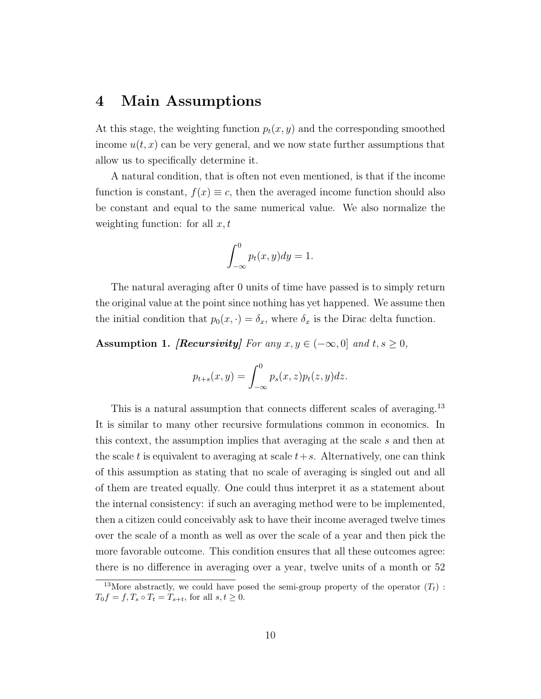#### 4 Main Assumptions

At this stage, the weighting function  $p_t(x, y)$  and the corresponding smoothed income  $u(t, x)$  can be very general, and we now state further assumptions that allow us to specifically determine it.

A natural condition, that is often not even mentioned, is that if the income function is constant,  $f(x) \equiv c$ , then the averaged income function should also be constant and equal to the same numerical value. We also normalize the weighting function: for all  $x, t$ 

$$
\int_{-\infty}^{0} p_t(x, y) dy = 1.
$$

The natural averaging after 0 units of time have passed is to simply return the original value at the point since nothing has yet happened. We assume then the initial condition that  $p_0(x, \cdot) = \delta_x$ , where  $\delta_x$  is the Dirac delta function.

Assumption 1. [Recursivity] For any  $x, y \in (-\infty, 0]$  and  $t, s \ge 0$ ,

$$
p_{t+s}(x,y) = \int_{-\infty}^{0} p_s(x,z) p_t(z,y) dz.
$$

This is a natural assumption that connects different scales of averaging.<sup>13</sup> It is similar to many other recursive formulations common in economics. In this context, the assumption implies that averaging at the scale s and then at the scale t is equivalent to averaging at scale  $t+s$ . Alternatively, one can think of this assumption as stating that no scale of averaging is singled out and all of them are treated equally. One could thus interpret it as a statement about the internal consistency: if such an averaging method were to be implemented, then a citizen could conceivably ask to have their income averaged twelve times over the scale of a month as well as over the scale of a year and then pick the more favorable outcome. This condition ensures that all these outcomes agree: there is no difference in averaging over a year, twelve units of a month or 52

<sup>&</sup>lt;sup>13</sup>More abstractly, we could have posed the semi-group property of the operator  $(T_t)$ :  $T_0f = f, T_s \circ T_t = T_{s+t}$ , for all  $s, t \geq 0$ .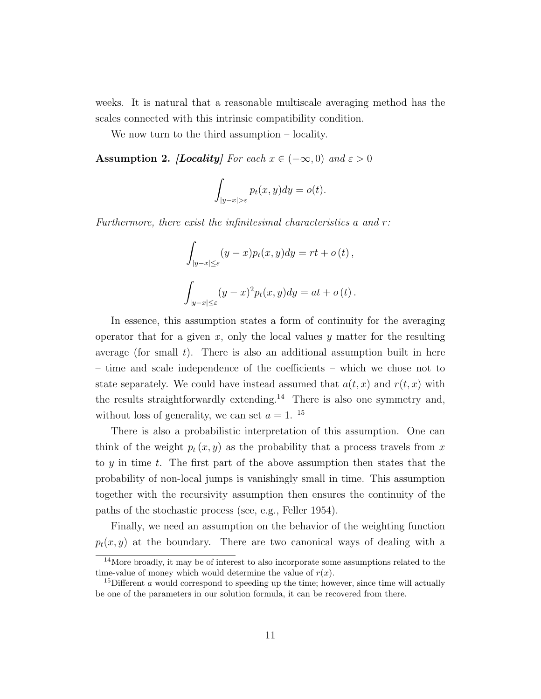weeks. It is natural that a reasonable multiscale averaging method has the scales connected with this intrinsic compatibility condition.

We now turn to the third assumption – locality.

**Assumption 2.** [Locality] For each  $x \in (-\infty, 0)$  and  $\varepsilon > 0$ 

$$
\int_{|y-x|>\varepsilon} p_t(x,y)dy = o(t).
$$

Furthermore, there exist the infinitesimal characteristics a and r:

$$
\int_{|y-x|\leq \varepsilon} (y-x)p_t(x,y)dy = rt + o(t),
$$
  

$$
\int_{|y-x|\leq \varepsilon} (y-x)^2 p_t(x,y)dy = at + o(t).
$$

In essence, this assumption states a form of continuity for the averaging operator that for a given x, only the local values  $y$  matter for the resulting average (for small  $t$ ). There is also an additional assumption built in here – time and scale independence of the coefficients – which we chose not to state separately. We could have instead assumed that  $a(t, x)$  and  $r(t, x)$  with the results straightforwardly extending.<sup>14</sup> There is also one symmetry and, without loss of generality, we can set  $a = 1$ . <sup>15</sup>

There is also a probabilistic interpretation of this assumption. One can think of the weight  $p_t(x, y)$  as the probability that a process travels from x to y in time t. The first part of the above assumption then states that the probability of non-local jumps is vanishingly small in time. This assumption together with the recursivity assumption then ensures the continuity of the paths of the stochastic process (see, e.g., Feller 1954).

Finally, we need an assumption on the behavior of the weighting function  $p_t(x, y)$  at the boundary. There are two canonical ways of dealing with a

<sup>14</sup>More broadly, it may be of interest to also incorporate some assumptions related to the time-value of money which would determine the value of  $r(x)$ .

<sup>&</sup>lt;sup>15</sup>Different a would correspond to speeding up the time; however, since time will actually be one of the parameters in our solution formula, it can be recovered from there.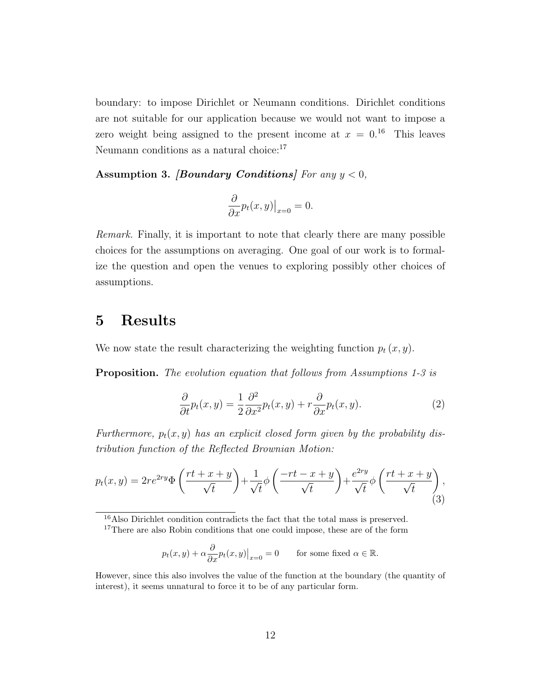boundary: to impose Dirichlet or Neumann conditions. Dirichlet conditions are not suitable for our application because we would not want to impose a zero weight being assigned to the present income at  $x = 0.16$  This leaves Neumann conditions as a natural choice:  $17\,$ 

Assumption 3. *[Boundary Conditions]* For any  $y < 0$ ,

$$
\frac{\partial}{\partial x}p_t(x,y)|_{x=0} = 0.
$$

Remark. Finally, it is important to note that clearly there are many possible choices for the assumptions on averaging. One goal of our work is to formalize the question and open the venues to exploring possibly other choices of assumptions.

### 5 Results

We now state the result characterizing the weighting function  $p_t(x, y)$ .

Proposition. The evolution equation that follows from Assumptions 1-3 is

$$
\frac{\partial}{\partial t}p_t(x,y) = \frac{1}{2}\frac{\partial^2}{\partial x^2}p_t(x,y) + r\frac{\partial}{\partial x}p_t(x,y).
$$
 (2)

Furthermore,  $p_t(x, y)$  has an explicit closed form given by the probability distribution function of the Reflected Brownian Motion:

$$
p_t(x,y) = 2re^{2ry}\Phi\left(\frac{rt+x+y}{\sqrt{t}}\right) + \frac{1}{\sqrt{t}}\phi\left(\frac{-rt-x+y}{\sqrt{t}}\right) + \frac{e^{2ry}}{\sqrt{t}}\phi\left(\frac{rt+x+y}{\sqrt{t}}\right),\tag{3}
$$

<sup>16</sup>Also Dirichlet condition contradicts the fact that the total mass is preserved.

$$
p_t(x, y) + \alpha \frac{\partial}{\partial x} p_t(x, y)|_{x=0} = 0
$$
 for some fixed  $\alpha \in \mathbb{R}$ .

<sup>&</sup>lt;sup>17</sup>There are also Robin conditions that one could impose, these are of the form

However, since this also involves the value of the function at the boundary (the quantity of interest), it seems unnatural to force it to be of any particular form.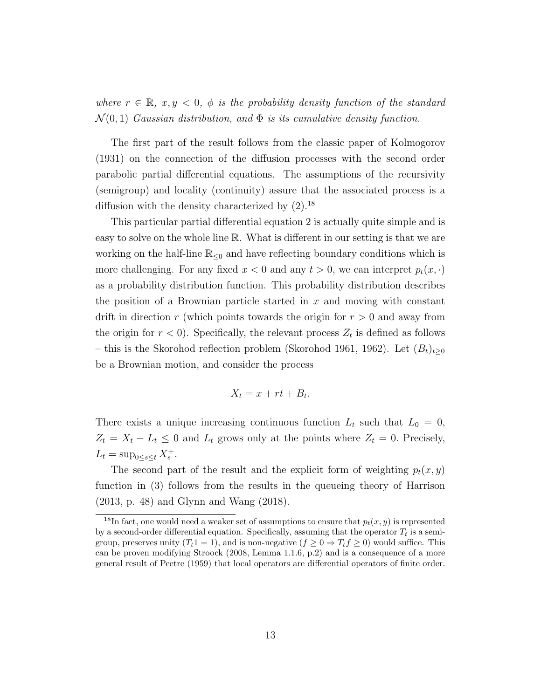where  $r \in \mathbb{R}$ ,  $x, y \leq 0$ ,  $\phi$  is the probability density function of the standard  $\mathcal{N}(0, 1)$  Gaussian distribution, and  $\Phi$  is its cumulative density function.

The first part of the result follows from the classic paper of Kolmogorov (1931) on the connection of the diffusion processes with the second order parabolic partial differential equations. The assumptions of the recursivity (semigroup) and locality (continuity) assure that the associated process is a diffusion with the density characterized by  $(2)$ .<sup>18</sup>

This particular partial differential equation 2 is actually quite simple and is easy to solve on the whole line R. What is different in our setting is that we are working on the half-line  $\mathbb{R}_{\leq 0}$  and have reflecting boundary conditions which is more challenging. For any fixed  $x < 0$  and any  $t > 0$ , we can interpret  $p_t(x, \cdot)$ as a probability distribution function. This probability distribution describes the position of a Brownian particle started in  $x$  and moving with constant drift in direction r (which points towards the origin for  $r > 0$  and away from the origin for  $r < 0$ ). Specifically, the relevant process  $Z_t$  is defined as follows – this is the Skorohod reflection problem (Skorohod 1961, 1962). Let  $(B_t)_{t\geq0}$ be a Brownian motion, and consider the process

$$
X_t = x + rt + B_t.
$$

There exists a unique increasing continuous function  $L_t$  such that  $L_0 = 0$ ,  $Z_t = X_t - L_t \leq 0$  and  $L_t$  grows only at the points where  $Z_t = 0$ . Precisely,  $L_t = \sup_{0 \le s \le t} X_s^+$ .

The second part of the result and the explicit form of weighting  $p_t(x, y)$ function in (3) follows from the results in the queueing theory of Harrison (2013, p. 48) and Glynn and Wang (2018).

<sup>&</sup>lt;sup>18</sup>In fact, one would need a weaker set of assumptions to ensure that  $p_t(x, y)$  is represented by a second-order differential equation. Specifically, assuming that the operator  $T_t$  is a semigroup, preserves unity  $(T_t 1 = 1)$ , and is non-negative  $(f \geq 0 \Rightarrow T_t f \geq 0)$  would suffice. This can be proven modifying Stroock (2008, Lemma 1.1.6, p.2) and is a consequence of a more general result of Peetre (1959) that local operators are differential operators of finite order.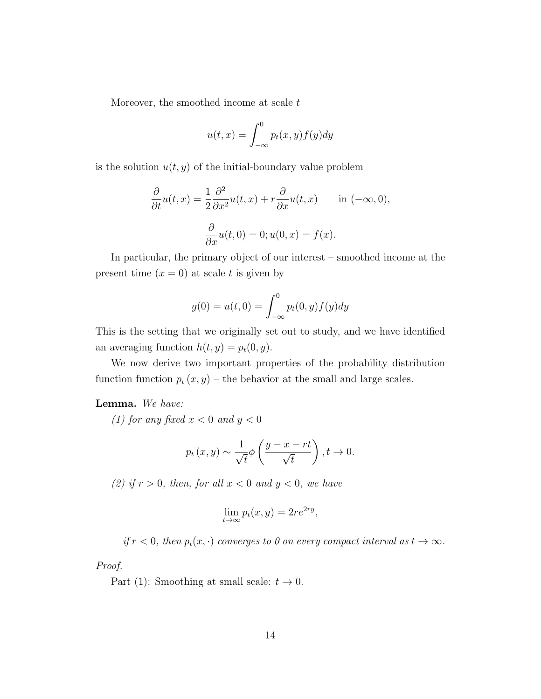Moreover, the smoothed income at scale  $t$ 

$$
u(t,x) = \int_{-\infty}^{0} p_t(x,y) f(y) dy
$$

is the solution  $u(t, y)$  of the initial-boundary value problem

$$
\frac{\partial}{\partial t}u(t,x) = \frac{1}{2}\frac{\partial^2}{\partial x^2}u(t,x) + r\frac{\partial}{\partial x}u(t,x) \quad \text{in } (-\infty, 0),
$$

$$
\frac{\partial}{\partial x}u(t,0) = 0; u(0,x) = f(x).
$$

In particular, the primary object of our interest – smoothed income at the present time  $(x = 0)$  at scale t is given by

$$
g(0) = u(t,0) = \int_{-\infty}^{0} p_t(0,y) f(y) dy
$$

This is the setting that we originally set out to study, and we have identified an averaging function  $h(t, y) = p_t(0, y)$ .

We now derive two important properties of the probability distribution function function  $p_t(x, y)$  – the behavior at the small and large scales.

#### Lemma. We have:

(1) for any fixed  $x < 0$  and  $y < 0$ 

$$
p_t(x, y) \sim \frac{1}{\sqrt{t}} \phi\left(\frac{y-x-rt}{\sqrt{t}}\right), t \to 0.
$$

(2) if  $r > 0$ , then, for all  $x < 0$  and  $y < 0$ , we have

$$
\lim_{t \to \infty} p_t(x, y) = 2re^{2ry},
$$

if  $r < 0$ , then  $p_t(x, \cdot)$  converges to 0 on every compact interval as  $t \to \infty$ .

Proof.

Part (1): Smoothing at small scale:  $t \to 0$ .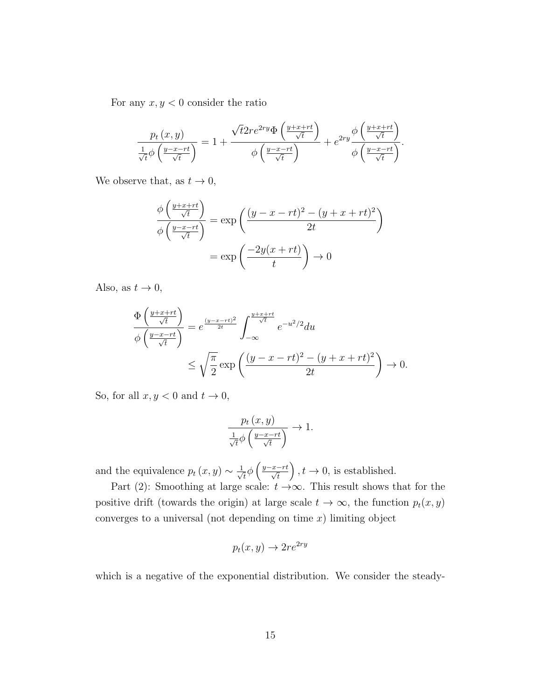For any  $x, y < 0$  consider the ratio

$$
\frac{p_t(x,y)}{\frac{1}{\sqrt{t}}\phi\left(\frac{y-x-rt}{\sqrt{t}}\right)} = 1 + \frac{\sqrt{t}2re^{2ry}\Phi\left(\frac{y+x+rt}{\sqrt{t}}\right)}{\phi\left(\frac{y-x-rt}{\sqrt{t}}\right)} + e^{2ry}\frac{\phi\left(\frac{y+x+rt}{\sqrt{t}}\right)}{\phi\left(\frac{y-x-rt}{\sqrt{t}}\right)}.
$$

We observe that, as  $t \to 0$ ,

$$
\frac{\phi\left(\frac{y+x+rt}{\sqrt{t}}\right)}{\phi\left(\frac{y-x-rt}{\sqrt{t}}\right)} = \exp\left(\frac{(y-x-rt)^2 - (y+x+rt)^2}{2t}\right)
$$

$$
= \exp\left(\frac{-2y(x+rt)}{t}\right) \to 0
$$

Also, as  $t \to 0$ ,

$$
\frac{\Phi\left(\frac{y+x+rt}{\sqrt{t}}\right)}{\phi\left(\frac{y-x-rt}{\sqrt{t}}\right)} = e^{\frac{(y-x-rt)^2}{2t}} \int_{-\infty}^{\frac{y+x+rt}{\sqrt{t}}} e^{-u^2/2} du
$$
\n
$$
\leq \sqrt{\frac{\pi}{2}} \exp\left(\frac{(y-x-rt)^2 - (y+x+rt)^2}{2t}\right) \to 0.
$$

So, for all  $x, y < 0$  and  $t \to 0$ ,

$$
\frac{p_t(x,y)}{\frac{1}{\sqrt{t}}\phi\left(\frac{y-x-rt}{\sqrt{t}}\right)} \to 1.
$$

and the equivalence  $p_t(x, y) \sim \frac{1}{\sqrt{2}}$  $\overline{t}$  $\phi$   $\left(\frac{y-x-rt}{\sqrt{t}}\right)$  $\big), t \to 0$ , is established.

Part (2): Smoothing at large scale:  $t \rightarrow \infty$ . This result shows that for the positive drift (towards the origin) at large scale  $t \to \infty$ , the function  $p_t(x, y)$ converges to a universal (not depending on time  $x$ ) limiting object

$$
p_t(x, y) \to 2re^{2ry}
$$

which is a negative of the exponential distribution. We consider the steady-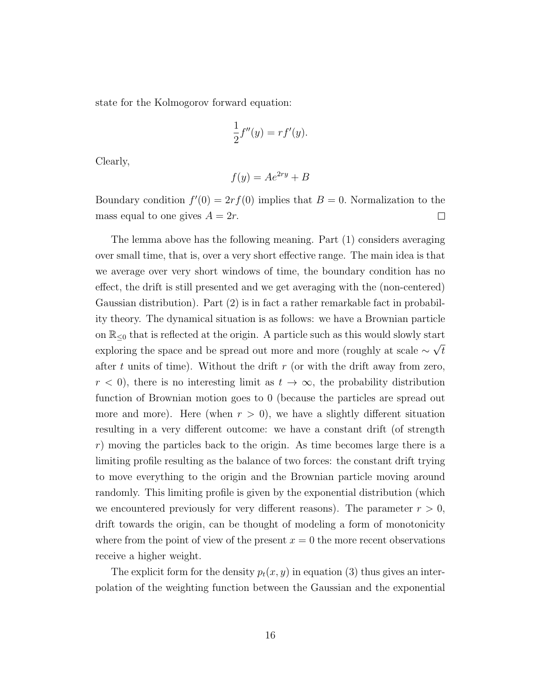state for the Kolmogorov forward equation:

$$
\frac{1}{2}f''(y) = rf'(y).
$$

Clearly,

$$
f(y) = Ae^{2ry} + B
$$

Boundary condition  $f'(0) = 2rf(0)$  implies that  $B = 0$ . Normalization to the mass equal to one gives  $A = 2r$ .  $\Box$ 

The lemma above has the following meaning. Part (1) considers averaging over small time, that is, over a very short effective range. The main idea is that we average over very short windows of time, the boundary condition has no effect, the drift is still presented and we get averaging with the (non-centered) Gaussian distribution). Part (2) is in fact a rather remarkable fact in probability theory. The dynamical situation is as follows: we have a Brownian particle on  $\mathbb{R}_{\leq 0}$  that is reflected at the origin. A particle such as this would slowly start exploring the space and be spread out more and more (roughly at scale  $\sim \sqrt{t}$ after t units of time). Without the drift  $r$  (or with the drift away from zero,  $r < 0$ , there is no interesting limit as  $t \to \infty$ , the probability distribution function of Brownian motion goes to 0 (because the particles are spread out more and more). Here (when  $r > 0$ ), we have a slightly different situation resulting in a very different outcome: we have a constant drift (of strength  $r$ ) moving the particles back to the origin. As time becomes large there is a limiting profile resulting as the balance of two forces: the constant drift trying to move everything to the origin and the Brownian particle moving around randomly. This limiting profile is given by the exponential distribution (which we encountered previously for very different reasons). The parameter  $r > 0$ , drift towards the origin, can be thought of modeling a form of monotonicity where from the point of view of the present  $x = 0$  the more recent observations receive a higher weight.

The explicit form for the density  $p_t(x, y)$  in equation (3) thus gives an interpolation of the weighting function between the Gaussian and the exponential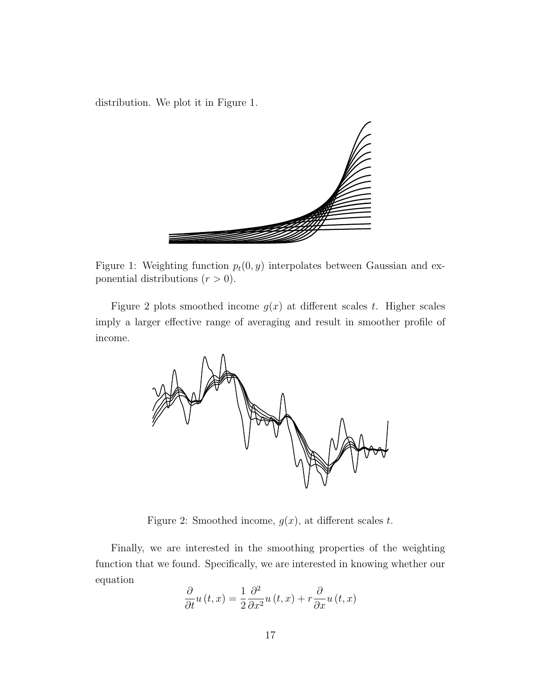distribution. We plot it in Figure 1.



Figure 1: Weighting function  $p_t(0, y)$  interpolates between Gaussian and exponential distributions  $(r > 0)$ .

Figure 2 plots smoothed income  $g(x)$  at different scales t. Higher scales imply a larger effective range of averaging and result in smoother profile of income.



Figure 2: Smoothed income,  $g(x)$ , at different scales t.

Finally, we are interested in the smoothing properties of the weighting function that we found. Specifically, we are interested in knowing whether our equation

$$
\frac{\partial}{\partial t}u(t,x) = \frac{1}{2}\frac{\partial^2}{\partial x^2}u(t,x) + r\frac{\partial}{\partial x}u(t,x)
$$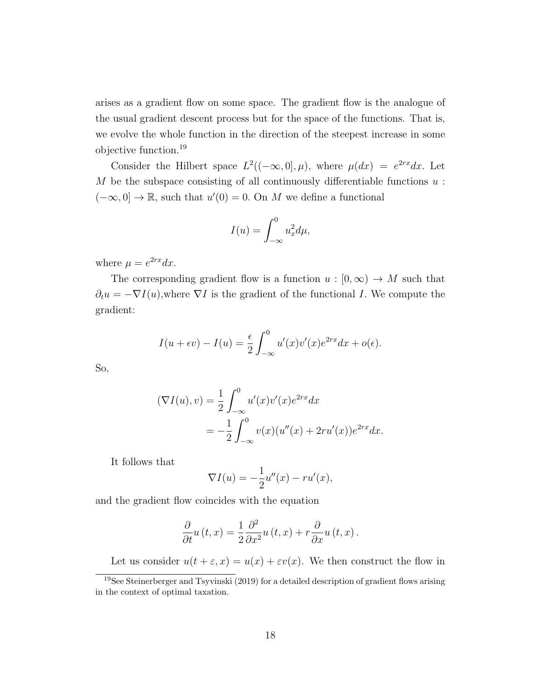arises as a gradient flow on some space. The gradient flow is the analogue of the usual gradient descent process but for the space of the functions. That is, we evolve the whole function in the direction of the steepest increase in some objective function.<sup>19</sup>

Consider the Hilbert space  $L^2((-\infty,0],\mu)$ , where  $\mu(dx) = e^{2rx}dx$ . Let M be the subspace consisting of all continuously differentiable functions  $u$ :  $(-\infty, 0] \to \mathbb{R}$ , such that  $u'(0) = 0$ . On M we define a functional

$$
I(u) = \int_{-\infty}^{0} u_x^2 d\mu,
$$

where  $\mu = e^{2rx}dx$ .

The corresponding gradient flow is a function  $u : [0, \infty) \to M$  such that  $\partial_t u = -\nabla I(u)$ , where  $\nabla I$  is the gradient of the functional I. We compute the gradient:

$$
I(u+\epsilon v) - I(u) = \frac{\epsilon}{2} \int_{-\infty}^{0} u'(x)v'(x)e^{2rx} dx + o(\epsilon).
$$

So,

$$
(\nabla I(u), v) = \frac{1}{2} \int_{-\infty}^{0} u'(x)v'(x)e^{2rx} dx
$$
  
=  $-\frac{1}{2} \int_{-\infty}^{0} v(x)(u''(x) + 2ru'(x))e^{2rx} dx.$ 

It follows that

$$
\nabla I(u) = -\frac{1}{2}u''(x) - ru'(x),
$$

and the gradient flow coincides with the equation

$$
\frac{\partial}{\partial t}u(t,x) = \frac{1}{2}\frac{\partial^2}{\partial x^2}u(t,x) + r\frac{\partial}{\partial x}u(t,x).
$$

Let us consider  $u(t + \varepsilon, x) = u(x) + \varepsilon v(x)$ . We then construct the flow in

<sup>19</sup>See Steinerberger and Tsyvinski (2019) for a detailed description of gradient flows arising in the context of optimal taxation.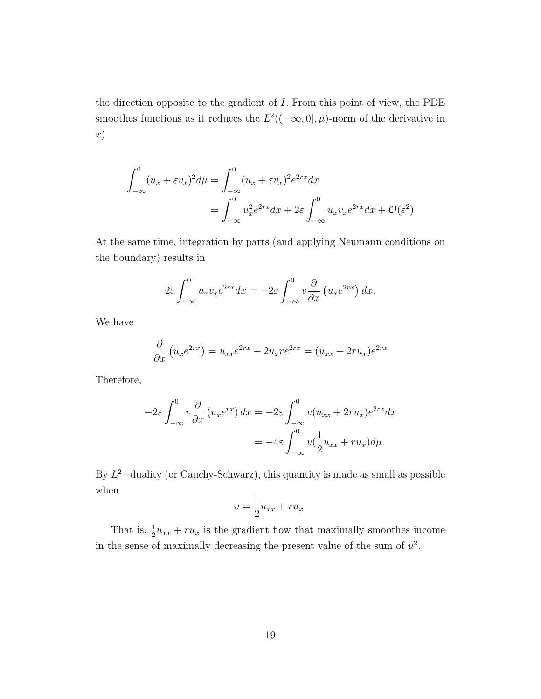the direction opposite to the gradient of I. From this point of view, the PDE smoothes functions as it reduces the  $L^2((-\infty,0],\mu)$ -norm of the derivative in x)

$$
\int_{-\infty}^{0} (u_x + \varepsilon v_x)^2 d\mu = \int_{-\infty}^{0} (u_x + \varepsilon v_x)^2 e^{2rx} dx
$$

$$
= \int_{-\infty}^{0} u_x^2 e^{2rx} dx + 2\varepsilon \int_{-\infty}^{0} u_x v_x e^{2rx} dx + \mathcal{O}(\varepsilon^2)
$$

At the same time, integration by parts (and applying Neumann conditions on the boundary) results in

$$
2\varepsilon \int_{-\infty}^{0} u_x v_x e^{2rx} dx = -2\varepsilon \int_{-\infty}^{0} v \frac{\partial}{\partial x} \left( u_x e^{2rx} \right) dx.
$$

We have

$$
\frac{\partial}{\partial x}\left(u_x e^{2rx}\right) = u_{xx}e^{2rx} + 2u_x re^{2rx} = (u_{xx} + 2ru_x)e^{2rx}
$$

Therefore,

$$
-2\varepsilon \int_{-\infty}^{0} v \frac{\partial}{\partial x} (u_x e^{rx}) dx = -2\varepsilon \int_{-\infty}^{0} v(u_{xx} + 2ru_x) e^{2rx} dx
$$

$$
= -4\varepsilon \int_{-\infty}^{0} v(\frac{1}{2}u_{xx} + ru_x) d\mu
$$

By  $L^2$ -duality (or Cauchy-Schwarz), this quantity is made as small as possible when

$$
v = \frac{1}{2}u_{xx} + ru_x.
$$

That is,  $\frac{1}{2}u_{xx} + ru_x$  is the gradient flow that maximally smoothes income in the sense of maximally decreasing the present value of the sum of  $u^2$ .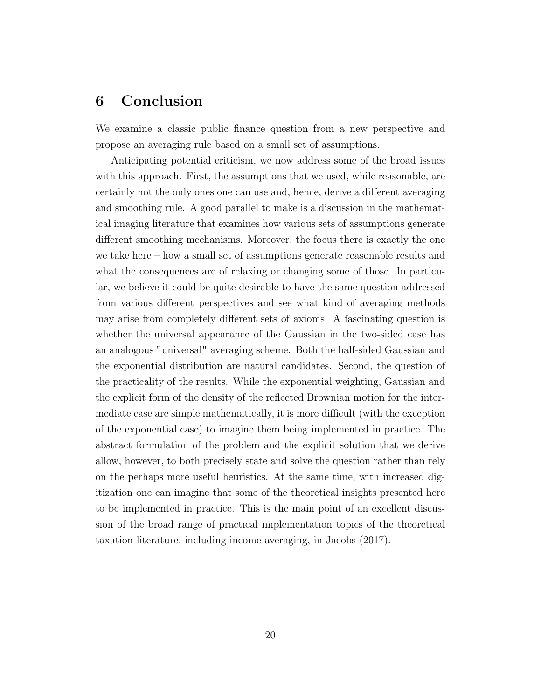# 6 Conclusion

We examine a classic public finance question from a new perspective and propose an averaging rule based on a small set of assumptions.

Anticipating potential criticism, we now address some of the broad issues with this approach. First, the assumptions that we used, while reasonable, are certainly not the only ones one can use and, hence, derive a different averaging and smoothing rule. A good parallel to make is a discussion in the mathematical imaging literature that examines how various sets of assumptions generate different smoothing mechanisms. Moreover, the focus there is exactly the one we take here – how a small set of assumptions generate reasonable results and what the consequences are of relaxing or changing some of those. In particular, we believe it could be quite desirable to have the same question addressed from various different perspectives and see what kind of averaging methods may arise from completely different sets of axioms. A fascinating question is whether the universal appearance of the Gaussian in the two-sided case has an analogous "universal" averaging scheme. Both the half-sided Gaussian and the exponential distribution are natural candidates. Second, the question of the practicality of the results. While the exponential weighting, Gaussian and the explicit form of the density of the reflected Brownian motion for the intermediate case are simple mathematically, it is more difficult (with the exception of the exponential case) to imagine them being implemented in practice. The abstract formulation of the problem and the explicit solution that we derive allow, however, to both precisely state and solve the question rather than rely on the perhaps more useful heuristics. At the same time, with increased digitization one can imagine that some of the theoretical insights presented here to be implemented in practice. This is the main point of an excellent discussion of the broad range of practical implementation topics of the theoretical taxation literature, including income averaging, in Jacobs (2017).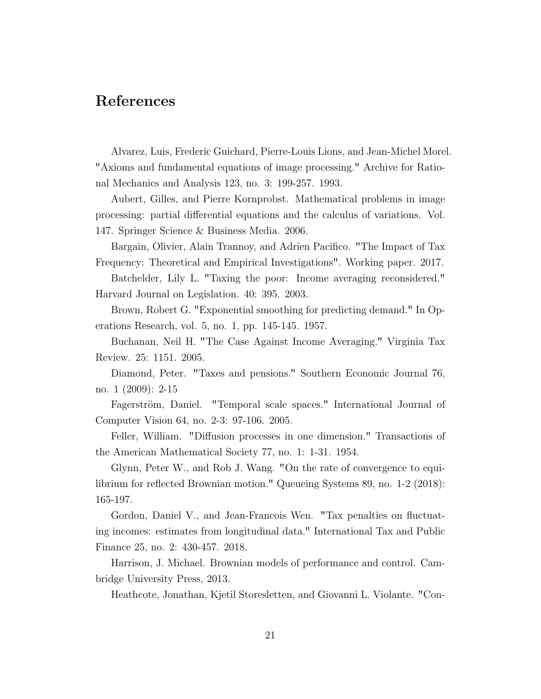### References

Alvarez, Luis, Frederic Guichard, Pierre-Louis Lions, and Jean-Michel Morel. Axioms and fundamental equations of image processing." Archive for Rational Mechanics and Analysis 123, no. 3: 199-257. 1993.

Aubert, Gilles, and Pierre Kornprobst. Mathematical problems in image processing: partial differential equations and the calculus of variations. Vol. 147. Springer Science & Business Media. 2006.

Bargain, Olivier, Alain Trannoy, and Adrien Pacifico. "The Impact of Tax Frequency: Theoretical and Empirical Investigations". Working paper. 2017.

Batchelder, Lily L. "Taxing the poor: Income averaging reconsidered." Harvard Journal on Legislation. 40: 395. 2003.

Brown, Robert G. "Exponential smoothing for predicting demand." In Operations Research, vol. 5, no. 1, pp. 145-145. 1957.

Buchanan, Neil H. "The Case Against Income Averaging." Virginia Tax Review. 25: 1151. 2005.

Diamond, Peter. "Taxes and pensions." Southern Economic Journal 76, no. 1 (2009): 2-15

Fagerström, Daniel. "Temporal scale spaces." International Journal of Computer Vision 64, no. 2-3: 97-106. 2005.

Feller, William. "Diffusion processes in one dimension." Transactions of the American Mathematical Society 77, no. 1: 1-31. 1954.

Glynn, Peter W., and Rob J. Wang. "On the rate of convergence to equilibrium for reflected Brownian motion." Queueing Systems 89, no. 1-2 (2018): 165-197.

Gordon, Daniel V., and Jean-Francois Wen. "Tax penalties on fluctuating incomes: estimates from longitudinal data." International Tax and Public Finance 25, no. 2: 430-457. 2018.

Harrison, J. Michael. Brownian models of performance and control. Cambridge University Press, 2013.

Heathcote, Jonathan, Kjetil Storesletten, and Giovanni L. Violante. "Con-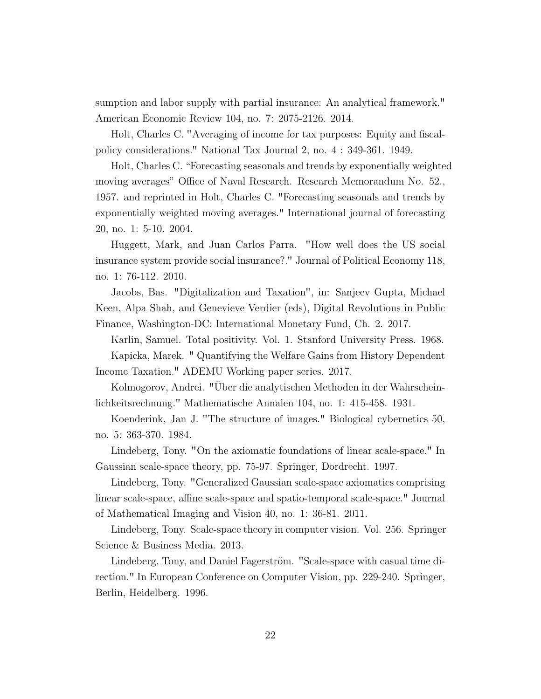sumption and labor supply with partial insurance: An analytical framework." American Economic Review 104, no. 7: 2075-2126. 2014.

Holt, Charles C. "Averaging of income for tax purposes: Equity and fiscalpolicy considerations." National Tax Journal 2, no. 4 : 349-361. 1949.

Holt, Charles C. "Forecasting seasonals and trends by exponentially weighted moving averages" Office of Naval Research. Research Memorandum No. 52., 1957. and reprinted in Holt, Charles C. "Forecasting seasonals and trends by exponentially weighted moving averages." International journal of forecasting 20, no. 1: 5-10. 2004.

Huggett, Mark, and Juan Carlos Parra. "How well does the US social insurance system provide social insurance?." Journal of Political Economy 118, no. 1: 76-112. 2010.

Jacobs, Bas. "Digitalization and Taxation", in: Sanjeev Gupta, Michael Keen, Alpa Shah, and Genevieve Verdier (eds), Digital Revolutions in Public Finance, Washington-DC: International Monetary Fund, Ch. 2. 2017.

Karlin, Samuel. Total positivity. Vol. 1. Stanford University Press. 1968. Kapicka, Marek. " Quantifying the Welfare Gains from History Dependent Income Taxation." ADEMU Working paper series. 2017.

Kolmogorov, Andrei. "Uber die analytischen Methoden in der Wahrschein- ¨ lichkeitsrechnung." Mathematische Annalen 104, no. 1: 415-458. 1931.

Koenderink, Jan J. "The structure of images." Biological cybernetics 50, no. 5: 363-370. 1984.

Lindeberg, Tony. "On the axiomatic foundations of linear scale-space." In Gaussian scale-space theory, pp. 75-97. Springer, Dordrecht. 1997.

Lindeberg, Tony. "Generalized Gaussian scale-space axiomatics comprising linear scale-space, affine scale-space and spatio-temporal scale-space." Journal of Mathematical Imaging and Vision 40, no. 1: 36-81. 2011.

Lindeberg, Tony. Scale-space theory in computer vision. Vol. 256. Springer Science & Business Media. 2013.

Lindeberg, Tony, and Daniel Fagerström. "Scale-space with casual time direction." In European Conference on Computer Vision, pp. 229-240. Springer, Berlin, Heidelberg. 1996.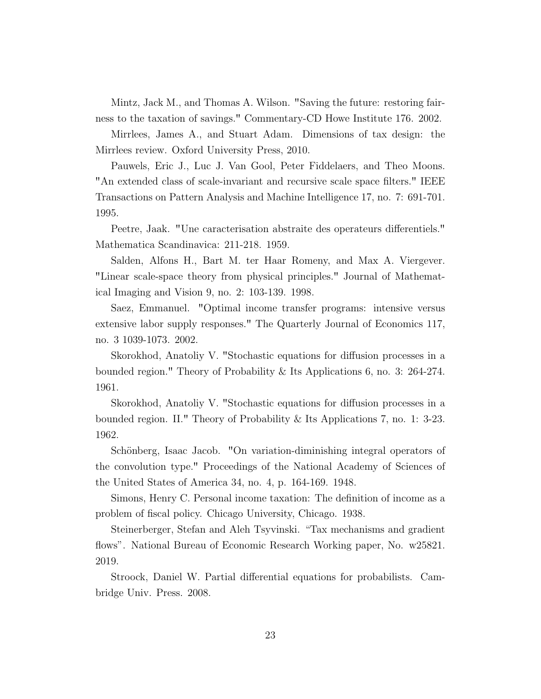Mintz, Jack M., and Thomas A. Wilson. "Saving the future: restoring fairness to the taxation of savings." Commentary-CD Howe Institute 176. 2002.

Mirrlees, James A., and Stuart Adam. Dimensions of tax design: the Mirrlees review. Oxford University Press, 2010.

Pauwels, Eric J., Luc J. Van Gool, Peter Fiddelaers, and Theo Moons. An extended class of scale-invariant and recursive scale space filters." IEEE Transactions on Pattern Analysis and Machine Intelligence 17, no. 7: 691-701. 1995.

Peetre, Jaak. "Une caracterisation abstraite des operateurs differentiels." Mathematica Scandinavica: 211-218. 1959.

Salden, Alfons H., Bart M. ter Haar Romeny, and Max A. Viergever. Linear scale-space theory from physical principles." Journal of Mathematical Imaging and Vision 9, no. 2: 103-139. 1998.

Saez, Emmanuel. "Optimal income transfer programs: intensive versus extensive labor supply responses." The Quarterly Journal of Economics 117, no. 3 1039-1073. 2002.

Skorokhod, Anatoliy V. "Stochastic equations for diffusion processes in a bounded region." Theory of Probability & Its Applications 6, no. 3: 264-274. 1961.

Skorokhod, Anatoliy V. "Stochastic equations for diffusion processes in a bounded region. II." Theory of Probability & Its Applications 7, no. 1: 3-23. 1962.

Schönberg, Isaac Jacob. "On variation-diminishing integral operators of the convolution type." Proceedings of the National Academy of Sciences of the United States of America 34, no. 4, p. 164-169. 1948.

Simons, Henry C. Personal income taxation: The definition of income as a problem of fiscal policy. Chicago University, Chicago. 1938.

Steinerberger, Stefan and Aleh Tsyvinski. "Tax mechanisms and gradient flows". National Bureau of Economic Research Working paper, No. w25821. 2019.

Stroock, Daniel W. Partial differential equations for probabilists. Cambridge Univ. Press. 2008.